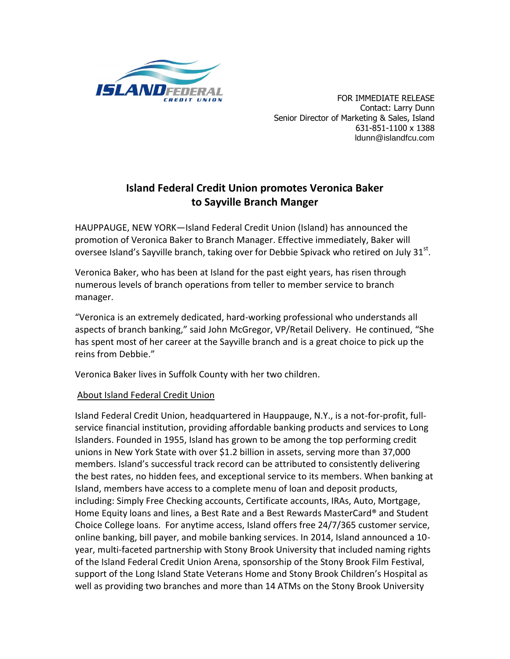

 FOR IMMEDIATE RELEASE Contact: Larry Dunn Senior Director of Marketing & Sales, Island 631-851-1100 x 1388 ldunn@islandfcu.com

## **Island Federal Credit Union promotes Veronica Baker to Sayville Branch Manger**

HAUPPAUGE, NEW YORK—Island Federal Credit Union (Island) has announced the promotion of Veronica Baker to Branch Manager. Effective immediately, Baker will oversee Island's Sayville branch, taking over for Debbie Spivack who retired on July 31 $^{\text{st}}$ .

Veronica Baker, who has been at Island for the past eight years, has risen through numerous levels of branch operations from teller to member service to branch manager.

"Veronica is an extremely dedicated, hard-working professional who understands all aspects of branch banking," said John McGregor, VP/Retail Delivery. He continued, "She has spent most of her career at the Sayville branch and is a great choice to pick up the reins from Debbie."

Veronica Baker lives in Suffolk County with her two children.

## About Island Federal Credit Union

Island Federal Credit Union, headquartered in Hauppauge, N.Y., is a not-for-profit, fullservice financial institution, providing affordable banking products and services to Long Islanders. Founded in 1955, Island has grown to be among the top performing credit unions in New York State with over \$1.2 billion in assets, serving more than 37,000 members. Island's successful track record can be attributed to consistently delivering the best rates, no hidden fees, and exceptional service to its members. When banking at Island, members have access to a complete menu of loan and deposit products, including: Simply Free Checking accounts, Certificate accounts, IRAs, Auto, Mortgage, Home Equity loans and lines, a Best Rate and a Best Rewards MasterCard® and Student Choice College loans. For anytime access, Island offers free 24/7/365 customer service, online banking, bill payer, and mobile banking services. In 2014, Island announced a 10 year, multi-faceted partnership with Stony Brook University that included naming rights of the Island Federal Credit Union Arena, sponsorship of the Stony Brook Film Festival, support of the Long Island State Veterans Home and Stony Brook Children's Hospital as well as providing two branches and more than 14 ATMs on the Stony Brook University